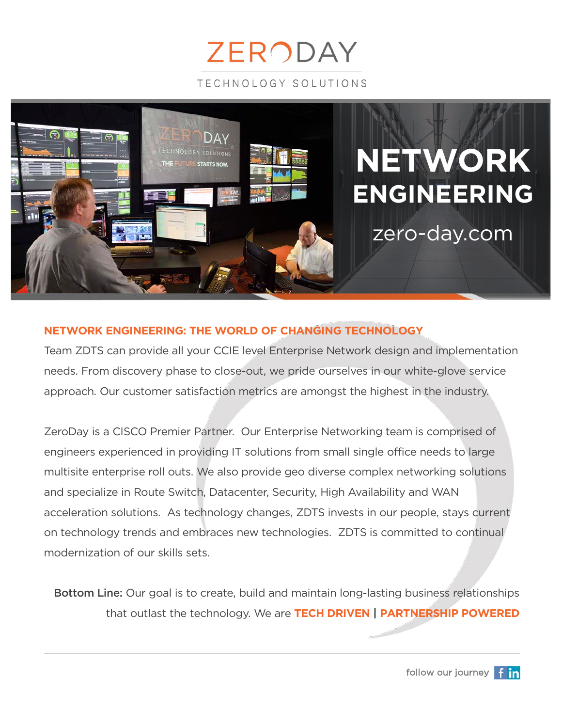



#### **NETWORK ENGINEERING: THE WORLD OF CHANGING TECHNOLOGY**

Team ZDTS can provide all your CCIE level Enterprise Network design and implementation needs. From discovery phase to close-out, we pride ourselves in our white-glove service approach. Our customer satisfaction metrics are amongst the highest in the industry.

ZeroDay is a CISCO Premier Partner. Our Enterprise Networking team is comprised of engineers experienced in providing IT solutions from small single office needs to large multisite enterprise roll outs. We also provide geo diverse complex networking solutions and specialize in Route Switch, Datacenter, Security, High Availability and WAN acceleration solutions. As technology changes, ZDTS invests in our people, stays current on technology trends and embraces new technologies. ZDTS is committed to continual modernization of our skills sets.

Bottom Line: Our goal is to create, build and maintain long-lasting business relationships that outlast the technology. We are **TECH DRIVEN | PARTNERSHIP POWERED**